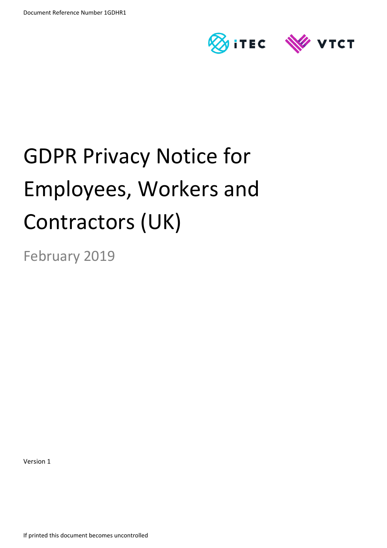

# GDPR Privacy Notice for Employees, Workers and Contractors (UK)

February 2019

Version 1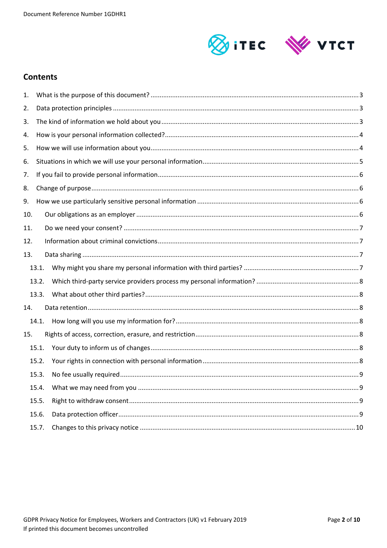

## **Contents**

| 1.  |       |  |
|-----|-------|--|
| 2.  |       |  |
| 3.  |       |  |
| 4.  |       |  |
| 5.  |       |  |
| 6.  |       |  |
| 7.  |       |  |
| 8.  |       |  |
| 9.  |       |  |
| 10. |       |  |
| 11. |       |  |
| 12. |       |  |
| 13. |       |  |
|     | 13.1. |  |
|     | 13.2. |  |
|     | 13.3. |  |
| 14. |       |  |
|     | 14.1. |  |
| 15. |       |  |
|     | 15.1. |  |
|     | 15.2. |  |
|     | 15.3. |  |
|     | 15.4. |  |
|     | 15.5. |  |
|     | 15.6. |  |
|     | 15.7. |  |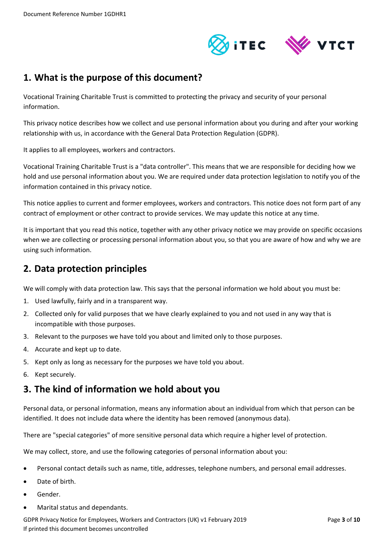

# <span id="page-2-0"></span>**1. What is the purpose of this document?**

Vocational Training Charitable Trust is committed to protecting the privacy and security of your personal information.

This privacy notice describes how we collect and use personal information about you during and after your working relationship with us, in accordance with the General Data Protection Regulation (GDPR).

It applies to all employees, workers and contractors.

Vocational Training Charitable Trust is a "data controller". This means that we are responsible for deciding how we hold and use personal information about you. We are required under data protection legislation to notify you of the information contained in this privacy notice.

This notice applies to current and former employees, workers and contractors. This notice does not form part of any contract of employment or other contract to provide services. We may update this notice at any time.

It is important that you read this notice, together with any other privacy notice we may provide on specific occasions when we are collecting or processing personal information about you, so that you are aware of how and why we are using such information.

# <span id="page-2-1"></span>**2. Data protection principles**

We will comply with data protection law. This says that the personal information we hold about you must be:

- 1. Used lawfully, fairly and in a transparent way.
- 2. Collected only for valid purposes that we have clearly explained to you and not used in any way that is incompatible with those purposes.
- 3. Relevant to the purposes we have told you about and limited only to those purposes.
- 4. Accurate and kept up to date.
- 5. Kept only as long as necessary for the purposes we have told you about.
- 6. Kept securely.

# <span id="page-2-2"></span>**3. The kind of information we hold about you**

Personal data, or personal information, means any information about an individual from which that person can be identified. It does not include data where the identity has been removed (anonymous data).

There are "special categories" of more sensitive personal data which require a higher level of protection.

We may collect, store, and use the following categories of personal information about you:

- Personal contact details such as name, title, addresses, telephone numbers, and personal email addresses.
- Date of birth.
- Gender.
- Marital status and dependants.

GDPR Privacy Notice for Employees, Workers and Contractors (UK) v1 February 2019 **Page 3** of 10 If printed this document becomes uncontrolled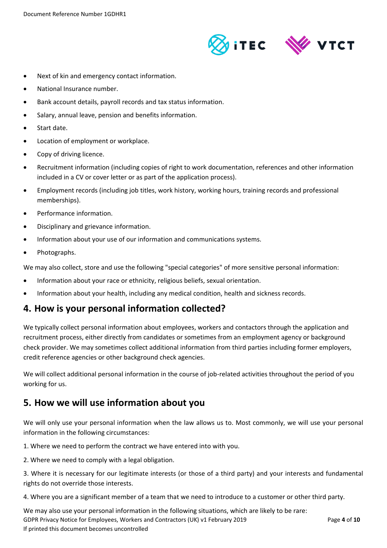

- Next of kin and emergency contact information.
- National Insurance number.
- Bank account details, payroll records and tax status information.
- Salary, annual leave, pension and benefits information.
- Start date.
- Location of employment or workplace.
- Copy of driving licence.
- Recruitment information (including copies of right to work documentation, references and other information included in a CV or cover letter or as part of the application process).
- Employment records (including job titles, work history, working hours, training records and professional memberships).
- Performance information.
- Disciplinary and grievance information.
- Information about your use of our information and communications systems.
- Photographs.

We may also collect, store and use the following "special categories" of more sensitive personal information:

- Information about your race or ethnicity, religious beliefs, sexual orientation.
- Information about your health, including any medical condition, health and sickness records.

## <span id="page-3-0"></span>**4. How is your personal information collected?**

We typically collect personal information about employees, workers and contactors through the application and recruitment process, either directly from candidates or sometimes from an employment agency or background check provider. We may sometimes collect additional information from third parties including former employers, credit reference agencies or other background check agencies.

We will collect additional personal information in the course of job-related activities throughout the period of you working for us.

## <span id="page-3-1"></span>**5. How we will use information about you**

We will only use your personal information when the law allows us to. Most commonly, we will use your personal information in the following circumstances:

1. Where we need to perform the contract we have entered into with you.

2. Where we need to comply with a legal obligation.

3. Where it is necessary for our legitimate interests (or those of a third party) and your interests and fundamental rights do not override those interests.

4. Where you are a significant member of a team that we need to introduce to a customer or other third party.

GDPR Privacy Notice for Employees, Workers and Contractors (UK) v1 February 2019 **Page 4** of 10 If printed this document becomes uncontrolled We may also use your personal information in the following situations, which are likely to be rare: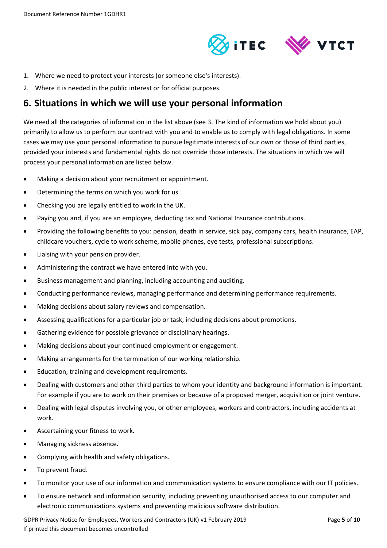

- 1. Where we need to protect your interests (or someone else's interests).
- 2. Where it is needed in the public interest or for official purposes.

## <span id="page-4-0"></span>**6. Situations in which we will use your personal information**

We need all the categories of information in the list above (see [3.](#page-2-2) The kind of information we hold about you) primarily to allow us to perform our contract with you and to enable us to comply with legal obligations. In some cases we may use your personal information to pursue legitimate interests of our own or those of third parties, provided your interests and fundamental rights do not override those interests. The situations in which we will process your personal information are listed below.

- Making a decision about your recruitment or appointment.
- Determining the terms on which you work for us.
- Checking you are legally entitled to work in the UK.
- Paying you and, if you are an employee, deducting tax and National Insurance contributions.
- Providing the following benefits to you: pension, death in service, sick pay, company cars, health insurance, EAP, childcare vouchers, cycle to work scheme, mobile phones, eye tests, professional subscriptions.
- Liaising with your pension provider.
- Administering the contract we have entered into with you.
- Business management and planning, including accounting and auditing.
- Conducting performance reviews, managing performance and determining performance requirements.
- Making decisions about salary reviews and compensation.
- Assessing qualifications for a particular job or task, including decisions about promotions.
- Gathering evidence for possible grievance or disciplinary hearings.
- Making decisions about your continued employment or engagement.
- Making arrangements for the termination of our working relationship.
- Education, training and development requirements.
- Dealing with customers and other third parties to whom your identity and background information is important. For example if you are to work on their premises or because of a proposed merger, acquisition or joint venture.
- Dealing with legal disputes involving you, or other employees, workers and contractors, including accidents at work.
- Ascertaining your fitness to work.
- Managing sickness absence.
- Complying with health and safety obligations.
- To prevent fraud.
- To monitor your use of our information and communication systems to ensure compliance with our IT policies.
- To ensure network and information security, including preventing unauthorised access to our computer and electronic communications systems and preventing malicious software distribution.

GDPR Privacy Notice for Employees, Workers and Contractors (UK) v1 February 2019 **Page 5** of 10 If printed this document becomes uncontrolled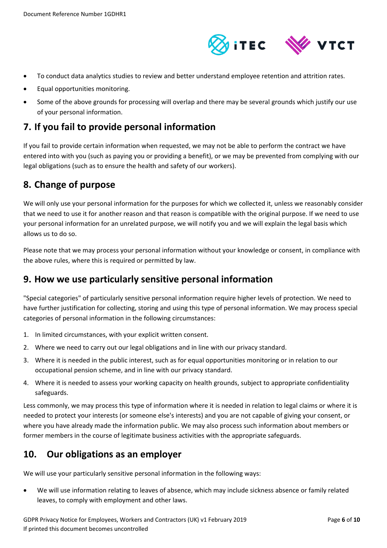

- To conduct data analytics studies to review and better understand employee retention and attrition rates.
- Equal opportunities monitoring.
- Some of the above grounds for processing will overlap and there may be several grounds which justify our use of your personal information.

# <span id="page-5-0"></span>**7. If you fail to provide personal information**

If you fail to provide certain information when requested, we may not be able to perform the contract we have entered into with you (such as paying you or providing a benefit), or we may be prevented from complying with our legal obligations (such as to ensure the health and safety of our workers).

# <span id="page-5-1"></span>**8. Change of purpose**

We will only use your personal information for the purposes for which we collected it, unless we reasonably consider that we need to use it for another reason and that reason is compatible with the original purpose. If we need to use your personal information for an unrelated purpose, we will notify you and we will explain the legal basis which allows us to do so.

Please note that we may process your personal information without your knowledge or consent, in compliance with the above rules, where this is required or permitted by law.

# <span id="page-5-2"></span>**9. How we use particularly sensitive personal information**

"Special categories" of particularly sensitive personal information require higher levels of protection. We need to have further justification for collecting, storing and using this type of personal information. We may process special categories of personal information in the following circumstances:

- 1. In limited circumstances, with your explicit written consent.
- 2. Where we need to carry out our legal obligations and in line with our privacy standard.
- 3. Where it is needed in the public interest, such as for equal opportunities monitoring or in relation to our occupational pension scheme, and in line with our privacy standard.
- 4. Where it is needed to assess your working capacity on health grounds, subject to appropriate confidentiality safeguards.

Less commonly, we may process this type of information where it is needed in relation to legal claims or where it is needed to protect your interests (or someone else's interests) and you are not capable of giving your consent, or where you have already made the information public. We may also process such information about members or former members in the course of legitimate business activities with the appropriate safeguards.

# <span id="page-5-3"></span>**10. Our obligations as an employer**

We will use your particularly sensitive personal information in the following ways:

 We will use information relating to leaves of absence, which may include sickness absence or family related leaves, to comply with employment and other laws.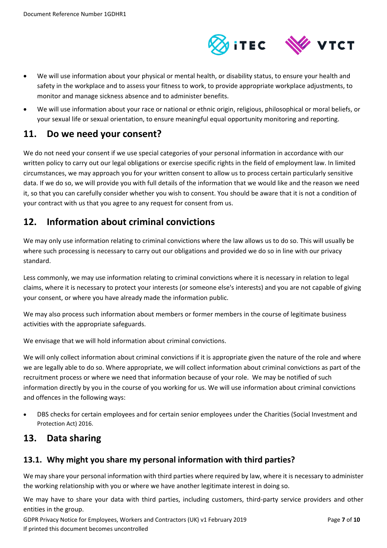

- We will use information about your physical or mental health, or disability status, to ensure your health and safety in the workplace and to assess your fitness to work, to provide appropriate workplace adjustments, to monitor and manage sickness absence and to administer benefits.
- We will use information about your race or national or ethnic origin, religious, philosophical or moral beliefs, or your sexual life or sexual orientation, to ensure meaningful equal opportunity monitoring and reporting.

# <span id="page-6-0"></span>**11. Do we need your consent?**

We do not need your consent if we use special categories of your personal information in accordance with our written policy to carry out our legal obligations or exercise specific rights in the field of employment law. In limited circumstances, we may approach you for your written consent to allow us to process certain particularly sensitive data. If we do so, we will provide you with full details of the information that we would like and the reason we need it, so that you can carefully consider whether you wish to consent. You should be aware that it is not a condition of your contract with us that you agree to any request for consent from us.

# <span id="page-6-1"></span>**12. Information about criminal convictions**

We may only use information relating to criminal convictions where the law allows us to do so. This will usually be where such processing is necessary to carry out our obligations and provided we do so in line with our privacy standard.

Less commonly, we may use information relating to criminal convictions where it is necessary in relation to legal claims, where it is necessary to protect your interests (or someone else's interests) and you are not capable of giving your consent, or where you have already made the information public.

We may also process such information about members or former members in the course of legitimate business activities with the appropriate safeguards.

We envisage that we will hold information about criminal convictions.

We will only collect information about criminal convictions if it is appropriate given the nature of the role and where we are legally able to do so. Where appropriate, we will collect information about criminal convictions as part of the recruitment process or where we need that information because of your role. We may be notified of such information directly by you in the course of you working for us. We will use information about criminal convictions and offences in the following ways:

 DBS checks for certain employees and for certain senior employees under the Charities (Social Investment and Protection Act) 2016.

# <span id="page-6-2"></span>**13. Data sharing**

## <span id="page-6-3"></span>**13.1. Why might you share my personal information with third parties?**

We may share your personal information with third parties where required by law, where it is necessary to administer the working relationship with you or where we have another legitimate interest in doing so.

We may have to share your data with third parties, including customers, third-party service providers and other entities in the group.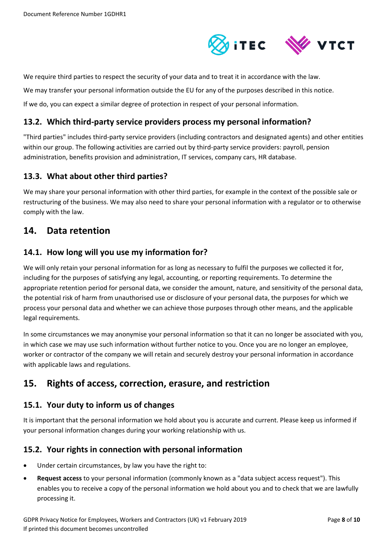

We require third parties to respect the security of your data and to treat it in accordance with the law.

We may transfer your personal information outside the EU for any of the purposes described in this notice.

If we do, you can expect a similar degree of protection in respect of your personal information.

#### <span id="page-7-0"></span>**13.2. Which third-party service providers process my personal information?**

"Third parties" includes third-party service providers (including contractors and designated agents) and other entities within our group. The following activities are carried out by third-party service providers: payroll, pension administration, benefits provision and administration, IT services, company cars, HR database.

## <span id="page-7-1"></span>**13.3. What about other third parties?**

We may share your personal information with other third parties, for example in the context of the possible sale or restructuring of the business. We may also need to share your personal information with a regulator or to otherwise comply with the law.

# <span id="page-7-2"></span>**14. Data retention**

#### <span id="page-7-3"></span>**14.1. How long will you use my information for?**

We will only retain your personal information for as long as necessary to fulfil the purposes we collected it for, including for the purposes of satisfying any legal, accounting, or reporting requirements. To determine the appropriate retention period for personal data, we consider the amount, nature, and sensitivity of the personal data, the potential risk of harm from unauthorised use or disclosure of your personal data, the purposes for which we process your personal data and whether we can achieve those purposes through other means, and the applicable legal requirements.

In some circumstances we may anonymise your personal information so that it can no longer be associated with you, in which case we may use such information without further notice to you. Once you are no longer an employee, worker or contractor of the company we will retain and securely destroy your personal information in accordance with applicable laws and regulations.

# <span id="page-7-4"></span>**15. Rights of access, correction, erasure, and restriction**

## <span id="page-7-5"></span>**15.1. Your duty to inform us of changes**

It is important that the personal information we hold about you is accurate and current. Please keep us informed if your personal information changes during your working relationship with us.

#### <span id="page-7-6"></span>**15.2. Your rights in connection with personal information**

- Under certain circumstances, by law you have the right to:
- **Request access** to your personal information (commonly known as a "data subject access request"). This enables you to receive a copy of the personal information we hold about you and to check that we are lawfully processing it.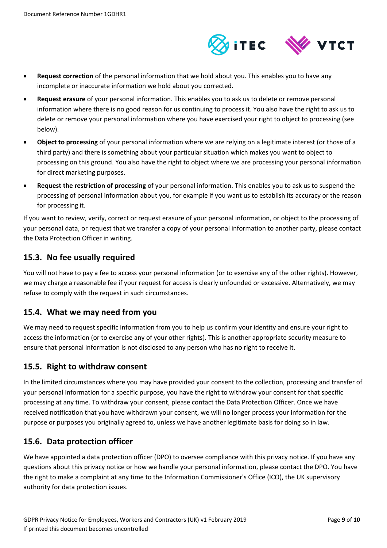

- **Request correction** of the personal information that we hold about you. This enables you to have any incomplete or inaccurate information we hold about you corrected.
- **Request erasure** of your personal information. This enables you to ask us to delete or remove personal information where there is no good reason for us continuing to process it. You also have the right to ask us to delete or remove your personal information where you have exercised your right to object to processing (see below).
- **Object to processing** of your personal information where we are relying on a legitimate interest (or those of a third party) and there is something about your particular situation which makes you want to object to processing on this ground. You also have the right to object where we are processing your personal information for direct marketing purposes.
- **Request the restriction of processing** of your personal information. This enables you to ask us to suspend the processing of personal information about you, for example if you want us to establish its accuracy or the reason for processing it.

If you want to review, verify, correct or request erasure of your personal information, or object to the processing of your personal data, or request that we transfer a copy of your personal information to another party, please contact the Data Protection Officer in writing.

## <span id="page-8-0"></span>**15.3. No fee usually required**

You will not have to pay a fee to access your personal information (or to exercise any of the other rights). However, we may charge a reasonable fee if your request for access is clearly unfounded or excessive. Alternatively, we may refuse to comply with the request in such circumstances.

## <span id="page-8-1"></span>**15.4. What we may need from you**

We may need to request specific information from you to help us confirm your identity and ensure your right to access the information (or to exercise any of your other rights). This is another appropriate security measure to ensure that personal information is not disclosed to any person who has no right to receive it.

## <span id="page-8-2"></span>**15.5. Right to withdraw consent**

In the limited circumstances where you may have provided your consent to the collection, processing and transfer of your personal information for a specific purpose, you have the right to withdraw your consent for that specific processing at any time. To withdraw your consent, please contact the Data Protection Officer. Once we have received notification that you have withdrawn your consent, we will no longer process your information for the purpose or purposes you originally agreed to, unless we have another legitimate basis for doing so in law.

## <span id="page-8-3"></span>**15.6. Data protection officer**

We have appointed a data protection officer (DPO) to oversee compliance with this privacy notice. If you have any questions about this privacy notice or how we handle your personal information, please contact the DPO. You have the right to make a complaint at any time to the Information Commissioner's Office (ICO), the UK supervisory authority for data protection issues.